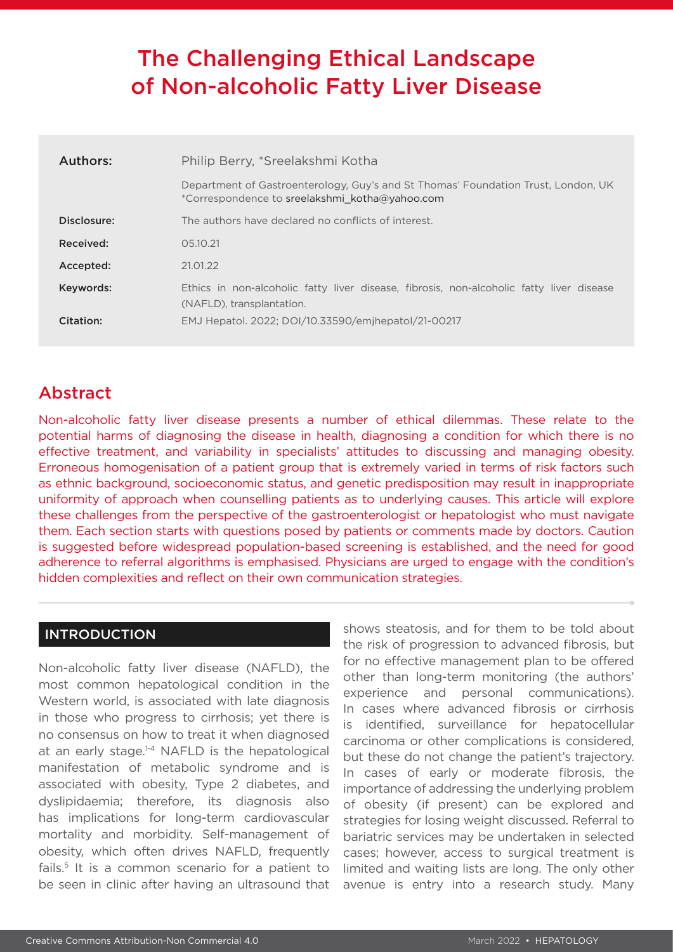# The Challenging Ethical Landscape of Non-alcoholic Fatty Liver Disease

| Authors:    | Philip Berry, *Sreelakshmi Kotha                                                                                                    |  |
|-------------|-------------------------------------------------------------------------------------------------------------------------------------|--|
|             | Department of Gastroenterology, Guy's and St Thomas' Foundation Trust, London, UK<br>*Correspondence to sreelakshmi kotha@yahoo.com |  |
| Disclosure: | The authors have declared no conflicts of interest.                                                                                 |  |
| Received:   | 05.10.21                                                                                                                            |  |
| Accepted:   | 21.01.22                                                                                                                            |  |
| Keywords:   | Ethics in non-alcoholic fatty liver disease, fibrosis, non-alcoholic fatty liver disease<br>(NAFLD), transplantation.               |  |
| Citation:   | EMJ Hepatol. 2022; DOI/10.33590/emjhepatol/21-00217                                                                                 |  |

# Abstract

Non-alcoholic fatty liver disease presents a number of ethical dilemmas. These relate to the potential harms of diagnosing the disease in health, diagnosing a condition for which there is no effective treatment, and variability in specialists' attitudes to discussing and managing obesity. Erroneous homogenisation of a patient group that is extremely varied in terms of risk factors such as ethnic background, socioeconomic status, and genetic predisposition may result in inappropriate uniformity of approach when counselling patients as to underlying causes. This article will explore these challenges from the perspective of the gastroenterologist or hepatologist who must navigate them. Each section starts with questions posed by patients or comments made by doctors. Caution is suggested before widespread population-based screening is established, and the need for good adherence to referral algorithms is emphasised. Physicians are urged to engage with the condition's hidden complexities and reflect on their own communication strategies.

#### INTRODUCTION

Non-alcoholic fatty liver disease (NAFLD), the most common hepatological condition in the Western world, is associated with late diagnosis in those who progress to cirrhosis; yet there is no consensus on how to treat it when diagnosed at an early stage.<sup>1-4</sup> NAFLD is the hepatological manifestation of metabolic syndrome and is associated with obesity, Type 2 diabetes, and dyslipidaemia; therefore, its diagnosis also has implications for long-term cardiovascular mortality and morbidity. Self-management of obesity, which often drives NAFLD, frequently fails.5 It is a common scenario for a patient to be seen in clinic after having an ultrasound that

shows steatosis, and for them to be told about the risk of progression to advanced fibrosis, but for no effective management plan to be offered other than long-term monitoring (the authors' experience and personal communications). In cases where advanced fibrosis or cirrhosis is identified, surveillance for hepatocellular carcinoma or other complications is considered, but these do not change the patient's trajectory. In cases of early or moderate fibrosis, the importance of addressing the underlying problem of obesity (if present) can be explored and strategies for losing weight discussed. Referral to bariatric services may be undertaken in selected cases; however, access to surgical treatment is limited and waiting lists are long. The only other avenue is entry into a research study. Many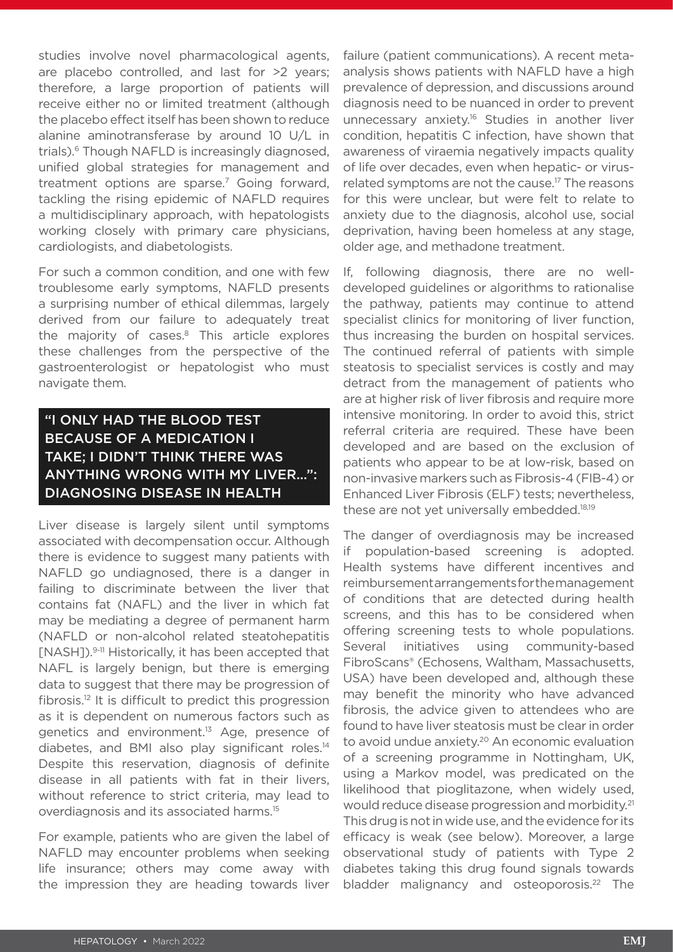studies involve novel pharmacological agents, are placebo controlled, and last for >2 years; therefore, a large proportion of patients will receive either no or limited treatment (although the placebo effect itself has been shown to reduce alanine aminotransferase by around 10 U/L in trials).6 Though NAFLD is increasingly diagnosed, unified global strategies for management and treatment options are sparse.<sup>7</sup> Going forward, tackling the rising epidemic of NAFLD requires a multidisciplinary approach, with hepatologists working closely with primary care physicians, cardiologists, and diabetologists.

For such a common condition, and one with few troublesome early symptoms, NAFLD presents a surprising number of ethical dilemmas, largely derived from our failure to adequately treat the majority of cases.<sup>8</sup> This article explores these challenges from the perspective of the gastroenterologist or hepatologist who must navigate them.

# "I ONLY HAD THE BLOOD TEST BECAUSE OF A MEDICATION I TAKE; I DIDN'T THINK THERE WAS ANYTHING WRONG WITH MY LIVER…": DIAGNOSING DISEASE IN HEALTH

Liver disease is largely silent until symptoms associated with decompensation occur. Although there is evidence to suggest many patients with NAFLD go undiagnosed, there is a danger in failing to discriminate between the liver that contains fat (NAFL) and the liver in which fat may be mediating a degree of permanent harm (NAFLD or non-alcohol related steatohepatitis [NASH]).<sup>9-11</sup> Historically, it has been accepted that NAFL is largely benign, but there is emerging data to suggest that there may be progression of fibrosis.12 It is difficult to predict this progression as it is dependent on numerous factors such as genetics and environment.<sup>13</sup> Age, presence of diabetes, and BMI also play significant roles.14 Despite this reservation, diagnosis of definite disease in all patients with fat in their livers, without reference to strict criteria, may lead to overdiagnosis and its associated harms.15

For example, patients who are given the label of NAFLD may encounter problems when seeking life insurance; others may come away with the impression they are heading towards liver

failure (patient communications). A recent metaanalysis shows patients with NAFLD have a high prevalence of depression, and discussions around diagnosis need to be nuanced in order to prevent unnecessary anxiety.16 Studies in another liver condition, hepatitis C infection, have shown that awareness of viraemia negatively impacts quality of life over decades, even when hepatic- or virusrelated symptoms are not the cause.<sup>17</sup> The reasons for this were unclear, but were felt to relate to anxiety due to the diagnosis, alcohol use, social deprivation, having been homeless at any stage, older age, and methadone treatment.

If, following diagnosis, there are no welldeveloped guidelines or algorithms to rationalise the pathway, patients may continue to attend specialist clinics for monitoring of liver function, thus increasing the burden on hospital services. The continued referral of patients with simple steatosis to specialist services is costly and may detract from the management of patients who are at higher risk of liver fibrosis and require more intensive monitoring. In order to avoid this, strict referral criteria are required. These have been developed and are based on the exclusion of patients who appear to be at low-risk, based on non-invasive markers such as Fibrosis-4 (FIB-4) or Enhanced Liver Fibrosis (ELF) tests; nevertheless, these are not yet universally embedded.<sup>18,19</sup>

The danger of overdiagnosis may be increased if population-based screening is adopted. Health systems have different incentives and reimbursement arrangements for the management of conditions that are detected during health screens, and this has to be considered when offering screening tests to whole populations. Several initiatives using community-based FibroScans® (Echosens, Waltham, Massachusetts, USA) have been developed and, although these may benefit the minority who have advanced fibrosis, the advice given to attendees who are found to have liver steatosis must be clear in order to avoid undue anxiety.<sup>20</sup> An economic evaluation of a screening programme in Nottingham, UK, using a Markov model, was predicated on the likelihood that pioglitazone, when widely used, would reduce disease progression and morbidity.<sup>21</sup> This drug is not in wide use, and the evidence for its efficacy is weak (see below). Moreover, a large observational study of patients with Type 2 diabetes taking this drug found signals towards bladder malignancy and osteoporosis.<sup>22</sup> The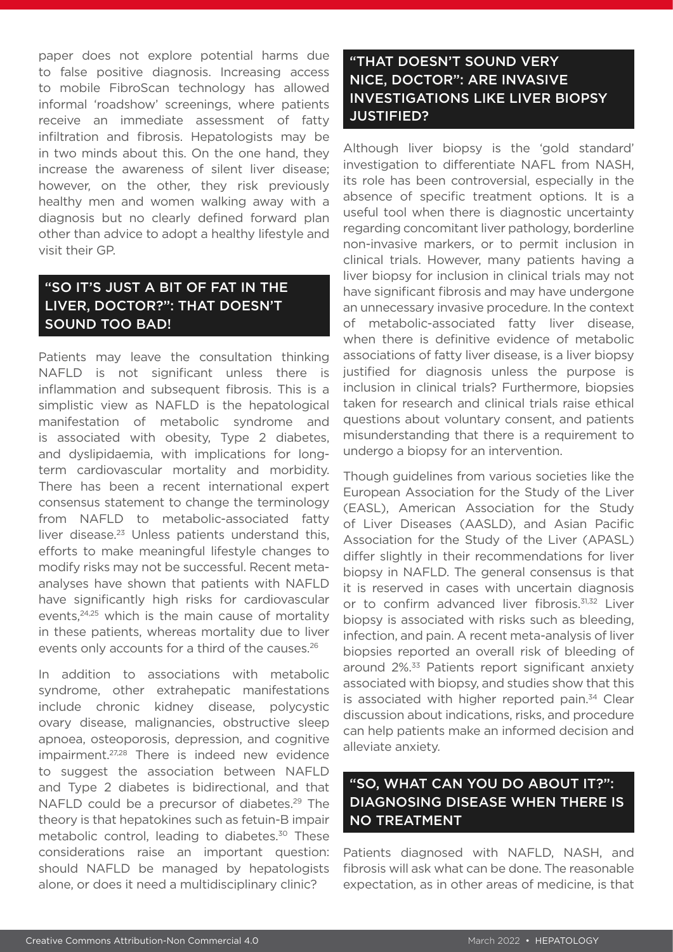paper does not explore potential harms due to false positive diagnosis. Increasing access to mobile FibroScan technology has allowed informal 'roadshow' screenings, where patients receive an immediate assessment of fatty infiltration and fibrosis. Hepatologists may be in two minds about this. On the one hand, they increase the awareness of silent liver disease; however, on the other, they risk previously healthy men and women walking away with a diagnosis but no clearly defined forward plan other than advice to adopt a healthy lifestyle and visit their GP.

# "SO IT'S JUST A BIT OF FAT IN THE LIVER, DOCTOR?": THAT DOESN'T SOUND TOO BAD!

Patients may leave the consultation thinking NAFLD is not significant unless there is inflammation and subsequent fibrosis. This is a simplistic view as NAFLD is the hepatological manifestation of metabolic syndrome and is associated with obesity, Type 2 diabetes, and dyslipidaemia, with implications for longterm cardiovascular mortality and morbidity. There has been a recent international expert consensus statement to change the terminology from NAFLD to metabolic-associated fatty liver disease.<sup>23</sup> Unless patients understand this, efforts to make meaningful lifestyle changes to modify risks may not be successful. Recent metaanalyses have shown that patients with NAFLD have significantly high risks for cardiovascular events,<sup>24,25</sup> which is the main cause of mortality in these patients, whereas mortality due to liver events only accounts for a third of the causes.<sup>26</sup>

In addition to associations with metabolic syndrome, other extrahepatic manifestations include chronic kidney disease, polycystic ovary disease, malignancies, obstructive sleep apnoea, osteoporosis, depression, and cognitive impairment.<sup>27,28</sup> There is indeed new evidence to suggest the association between NAFLD and Type 2 diabetes is bidirectional, and that NAFLD could be a precursor of diabetes.<sup>29</sup> The theory is that hepatokines such as fetuin-B impair metabolic control, leading to diabetes.<sup>30</sup> These considerations raise an important question: should NAFLD be managed by hepatologists alone, or does it need a multidisciplinary clinic?

### "THAT DOESN'T SOUND VERY NICE, DOCTOR": ARE INVASIVE INVESTIGATIONS LIKE LIVER BIOPSY JUSTIFIED?

Although liver biopsy is the 'gold standard' investigation to differentiate NAFL from NASH, its role has been controversial, especially in the absence of specific treatment options. It is a useful tool when there is diagnostic uncertainty regarding concomitant liver pathology, borderline non-invasive markers, or to permit inclusion in clinical trials. However, many patients having a liver biopsy for inclusion in clinical trials may not have significant fibrosis and may have undergone an unnecessary invasive procedure. In the context of metabolic-associated fatty liver disease, when there is definitive evidence of metabolic associations of fatty liver disease, is a liver biopsy justified for diagnosis unless the purpose is inclusion in clinical trials? Furthermore, biopsies taken for research and clinical trials raise ethical questions about voluntary consent, and patients misunderstanding that there is a requirement to undergo a biopsy for an intervention.

Though guidelines from various societies like the European Association for the Study of the Liver (EASL), American Association for the Study of Liver Diseases (AASLD), and Asian Pacific Association for the Study of the Liver (APASL) differ slightly in their recommendations for liver biopsy in NAFLD. The general consensus is that it is reserved in cases with uncertain diagnosis or to confirm advanced liver fibrosis.<sup>31,32</sup> Liver biopsy is associated with risks such as bleeding, infection, and pain. A recent meta-analysis of liver biopsies reported an overall risk of bleeding of around 2%.33 Patients report significant anxiety associated with biopsy, and studies show that this is associated with higher reported pain. $34$  Clear discussion about indications, risks, and procedure can help patients make an informed decision and alleviate anxiety.

#### "SO, WHAT CAN YOU DO ABOUT IT?": DIAGNOSING DISEASE WHEN THERE IS NO TREATMENT

Patients diagnosed with NAFLD, NASH, and fibrosis will ask what can be done. The reasonable expectation, as in other areas of medicine, is that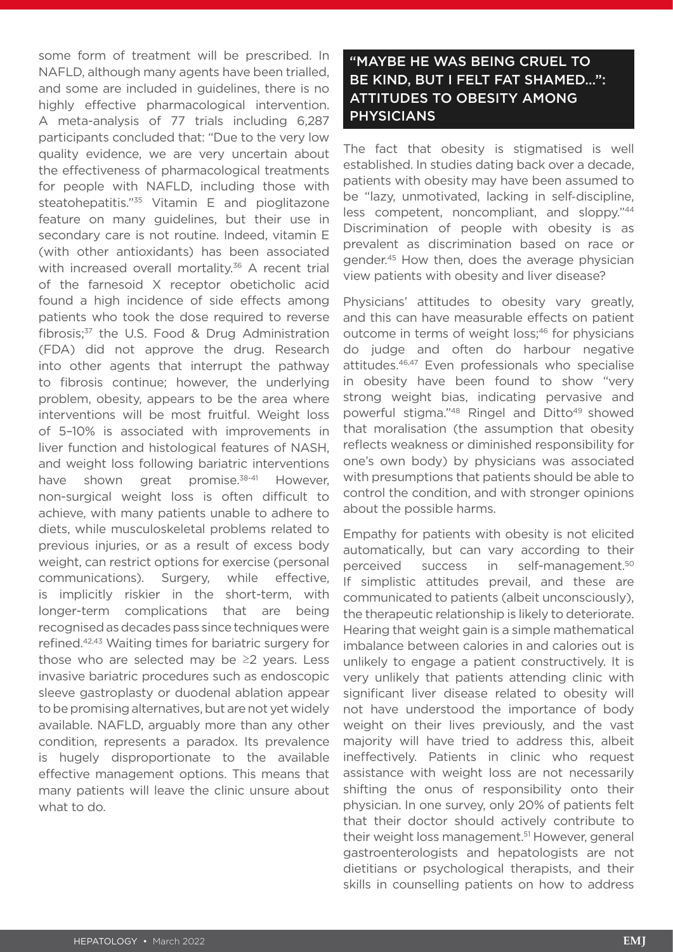some form of treatment will be prescribed. In NAFLD, although many agents have been trialled, and some are included in guidelines, there is no highly effective pharmacological intervention. A meta-analysis of 77 trials including 6,287 participants concluded that: "Due to the very low quality evidence, we are very uncertain about the effectiveness of pharmacological treatments for people with NAFLD, including those with steatohepatitis."35 Vitamin E and pioglitazone feature on many guidelines, but their use in secondary care is not routine. Indeed, vitamin E (with other antioxidants) has been associated with increased overall mortality.<sup>36</sup> A recent trial of the farnesoid X receptor obeticholic acid found a high incidence of side effects among patients who took the dose required to reverse fibrosis;37 the U.S. Food & Drug Administration (FDA) did not approve the drug. Research into other agents that interrupt the pathway to fibrosis continue; however, the underlying problem, obesity, appears to be the area where interventions will be most fruitful. Weight loss of 5–10% is associated with improvements in liver function and histological features of NASH, and weight loss following bariatric interventions have shown great promise.<sup>38-41</sup> However, non-surgical weight loss is often difficult to achieve, with many patients unable to adhere to diets, while musculoskeletal problems related to previous injuries, or as a result of excess body weight, can restrict options for exercise (personal communications). Surgery, while effective, is implicitly riskier in the short-term, with longer-term complications that are being recognised as decades pass since techniques were refined.42,43 Waiting times for bariatric surgery for those who are selected may be  $\geq 2$  years. Less invasive bariatric procedures such as endoscopic sleeve gastroplasty or duodenal ablation appear to be promising alternatives, but are not yet widely available. NAFLD, arguably more than any other condition, represents a paradox. Its prevalence is hugely disproportionate to the available effective management options. This means that many patients will leave the clinic unsure about what to do.

### "MAYBE HE WAS BEING CRUEL TO BE KIND, BUT I FELT FAT SHAMED…": ATTITUDES TO OBESITY AMONG PHYSICIANS

The fact that obesity is stigmatised is well established. In studies dating back over a decade, patients with obesity may have been assumed to be "lazy, unmotivated, lacking in self-discipline, less competent, noncompliant, and sloppy."44 Discrimination of people with obesity is as prevalent as discrimination based on race or gender.45 How then, does the average physician view patients with obesity and liver disease?

Physicians' attitudes to obesity vary greatly, and this can have measurable effects on patient outcome in terms of weight loss;<sup>46</sup> for physicians do judge and often do harbour negative attitudes.46,47 Even professionals who specialise in obesity have been found to show "very strong weight bias, indicating pervasive and powerful stigma."<sup>48</sup> Ringel and Ditto<sup>49</sup> showed that moralisation (the assumption that obesity reflects weakness or diminished responsibility for one's own body) by physicians was associated with presumptions that patients should be able to control the condition, and with stronger opinions about the possible harms.

Empathy for patients with obesity is not elicited automatically, but can vary according to their perceived success in self-management.50 If simplistic attitudes prevail, and these are communicated to patients (albeit unconsciously), the therapeutic relationship is likely to deteriorate. Hearing that weight gain is a simple mathematical imbalance between calories in and calories out is unlikely to engage a patient constructively. It is very unlikely that patients attending clinic with significant liver disease related to obesity will not have understood the importance of body weight on their lives previously, and the vast majority will have tried to address this, albeit ineffectively. Patients in clinic who request assistance with weight loss are not necessarily shifting the onus of responsibility onto their physician. In one survey, only 20% of patients felt that their doctor should actively contribute to their weight loss management.<sup>51</sup> However, general gastroenterologists and hepatologists are not dietitians or psychological therapists, and their skills in counselling patients on how to address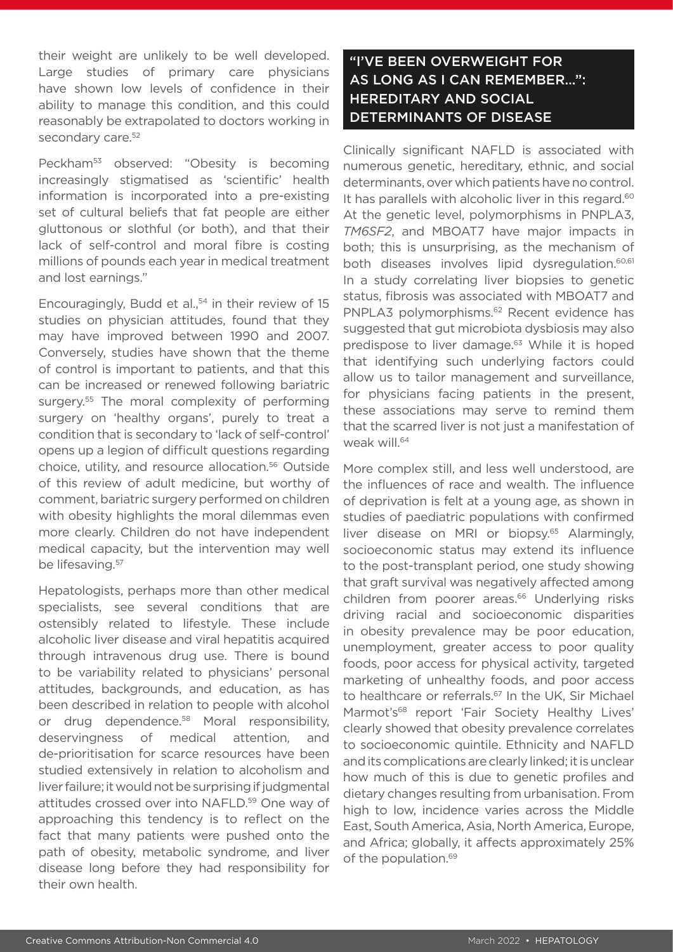their weight are unlikely to be well developed. Large studies of primary care physicians have shown low levels of confidence in their ability to manage this condition, and this could reasonably be extrapolated to doctors working in secondary care.<sup>52</sup>

Peckham<sup>53</sup> observed: "Obesity is becoming increasingly stigmatised as 'scientific' health information is incorporated into a pre-existing set of cultural beliefs that fat people are either gluttonous or slothful (or both), and that their lack of self-control and moral fibre is costing millions of pounds each year in medical treatment and lost earnings."

Encouragingly, Budd et al. $54$  in their review of 15 studies on physician attitudes, found that they may have improved between 1990 and 2007. Conversely, studies have shown that the theme of control is important to patients, and that this can be increased or renewed following bariatric surgery.<sup>55</sup> The moral complexity of performing surgery on 'healthy organs', purely to treat a condition that is secondary to 'lack of self-control' opens up a legion of difficult questions regarding choice, utility, and resource allocation.56 Outside of this review of adult medicine, but worthy of comment, bariatric surgery performed on children with obesity highlights the moral dilemmas even more clearly. Children do not have independent medical capacity, but the intervention may well be lifesaving.<sup>57</sup>

Hepatologists, perhaps more than other medical specialists, see several conditions that are ostensibly related to lifestyle. These include alcoholic liver disease and viral hepatitis acquired through intravenous drug use. There is bound to be variability related to physicians' personal attitudes, backgrounds, and education, as has been described in relation to people with alcohol or drug dependence.<sup>58</sup> Moral responsibility, deservingness of medical attention, and de-prioritisation for scarce resources have been studied extensively in relation to alcoholism and liver failure; it would not be surprising if judgmental attitudes crossed over into NAFLD.<sup>59</sup> One way of approaching this tendency is to reflect on the fact that many patients were pushed onto the path of obesity, metabolic syndrome, and liver disease long before they had responsibility for their own health.

# "I'VE BEEN OVERWEIGHT FOR AS LONG AS I CAN REMEMBER…": HEREDITARY AND SOCIAL DETERMINANTS OF DISEASE

Clinically significant NAFLD is associated with numerous genetic, hereditary, ethnic, and social determinants, over which patients have no control. It has parallels with alcoholic liver in this regard.<sup>60</sup> At the genetic level, polymorphisms in PNPLA3, *TM6SF2*, and MBOAT7 have major impacts in both; this is unsurprising, as the mechanism of both diseases involves lipid dysregulation.<sup>60,61</sup> In a study correlating liver biopsies to genetic status, fibrosis was associated with MBOAT7 and PNPLA3 polymorphisms.<sup>62</sup> Recent evidence has suggested that gut microbiota dysbiosis may also predispose to liver damage.<sup>63</sup> While it is hoped that identifying such underlying factors could allow us to tailor management and surveillance, for physicians facing patients in the present, these associations may serve to remind them that the scarred liver is not just a manifestation of weak will.<sup>64</sup>

More complex still, and less well understood, are the influences of race and wealth. The influence of deprivation is felt at a young age, as shown in studies of paediatric populations with confirmed liver disease on MRI or biopsy.<sup>65</sup> Alarmingly, socioeconomic status may extend its influence to the post-transplant period, one study showing that graft survival was negatively affected among children from poorer areas.<sup>66</sup> Underlying risks driving racial and socioeconomic disparities in obesity prevalence may be poor education, unemployment, greater access to poor quality foods, poor access for physical activity, targeted marketing of unhealthy foods, and poor access to healthcare or referrals.<sup>67</sup> In the UK, Sir Michael Marmot's<sup>68</sup> report 'Fair Society Healthy Lives' clearly showed that obesity prevalence correlates to socioeconomic quintile. Ethnicity and NAFLD and its complications are clearly linked; it is unclear how much of this is due to genetic profiles and dietary changes resulting from urbanisation. From high to low, incidence varies across the Middle East, South America, Asia, North America, Europe, and Africa; globally, it affects approximately 25% of the population.<sup>69</sup>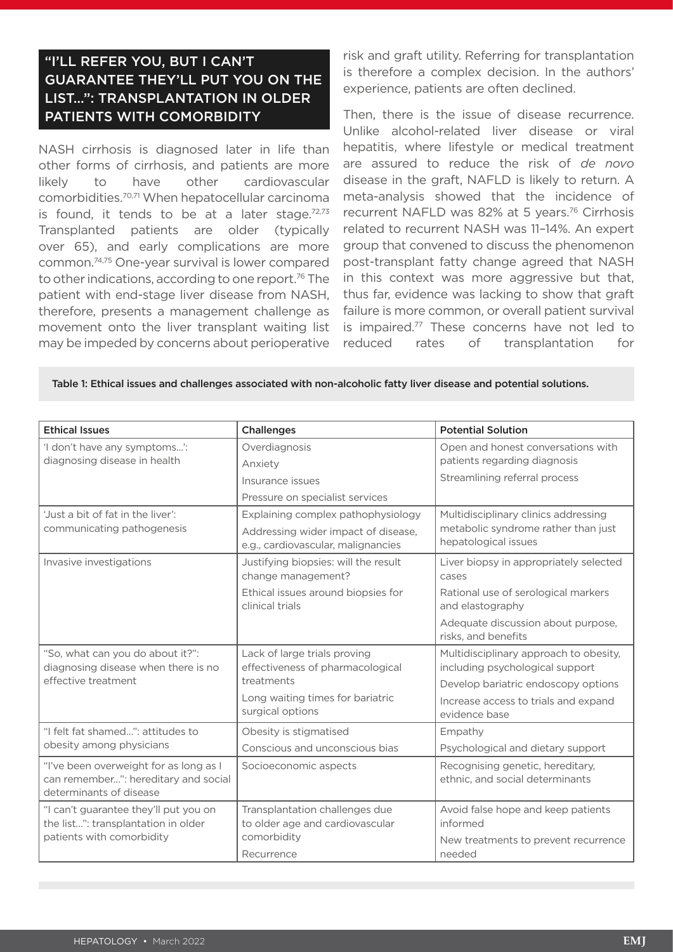# "I'LL REFER YOU, BUT I CAN'T GUARANTEE THEY'LL PUT YOU ON THE LIST…": TRANSPLANTATION IN OLDER PATIENTS WITH COMORBIDITY

NASH cirrhosis is diagnosed later in life than other forms of cirrhosis, and patients are more likely to have other cardiovascular comorbidities.70,71 When hepatocellular carcinoma is found, it tends to be at a later stage. $72,73$ Transplanted patients are older (typically over 65), and early complications are more common.74,75 One-year survival is lower compared to other indications, according to one report.<sup>76</sup> The patient with end-stage liver disease from NASH, therefore, presents a management challenge as movement onto the liver transplant waiting list may be impeded by concerns about perioperative

risk and graft utility. Referring for transplantation is therefore a complex decision. In the authors' experience, patients are often declined.

Then, there is the issue of disease recurrence. Unlike alcohol-related liver disease or viral hepatitis, where lifestyle or medical treatment are assured to reduce the risk of *de novo* disease in the graft, NAFLD is likely to return. A meta-analysis showed that the incidence of recurrent NAFLD was 82% at 5 years.76 Cirrhosis related to recurrent NASH was 11–14%. An expert group that convened to discuss the phenomenon post-transplant fatty change agreed that NASH in this context was more aggressive but that, thus far, evidence was lacking to show that graft failure is more common, or overall patient survival is impaired.<sup>77</sup> These concerns have not led to reduced rates of transplantation for

Table 1: Ethical issues and challenges associated with non-alcoholic fatty liver disease and potential solutions.

| <b>Ethical Issues</b>                                                                                     | <b>Challenges</b>                                                                                                                      | <b>Potential Solution</b>                                                                                                                                                 |
|-----------------------------------------------------------------------------------------------------------|----------------------------------------------------------------------------------------------------------------------------------------|---------------------------------------------------------------------------------------------------------------------------------------------------------------------------|
| 'I don't have any symptoms':<br>diagnosing disease in health                                              | Overdiagnosis<br>Anxiety<br>Insurance issues<br>Pressure on specialist services                                                        | Open and honest conversations with<br>patients regarding diagnosis<br>Streamlining referral process                                                                       |
| 'Just a bit of fat in the liver':<br>communicating pathogenesis                                           | Explaining complex pathophysiology<br>Addressing wider impact of disease,<br>e.g., cardiovascular, malignancies                        | Multidisciplinary clinics addressing<br>metabolic syndrome rather than just<br>hepatological issues                                                                       |
| Invasive investigations                                                                                   | Justifying biopsies: will the result<br>change management?<br>Ethical issues around biopsies for<br>clinical trials                    | Liver biopsy in appropriately selected<br>cases<br>Rational use of serological markers<br>and elastography<br>Adequate discussion about purpose,<br>risks, and benefits   |
| "So, what can you do about it?":<br>diagnosing disease when there is no<br>effective treatment            | Lack of large trials proving<br>effectiveness of pharmacological<br>treatments<br>Long waiting times for bariatric<br>surgical options | Multidisciplinary approach to obesity,<br>including psychological support<br>Develop bariatric endoscopy options<br>Increase access to trials and expand<br>evidence base |
| "I felt fat shamed": attitudes to<br>obesity among physicians                                             | Obesity is stigmatised<br>Conscious and unconscious bias                                                                               | Empathy<br>Psychological and dietary support                                                                                                                              |
| "I've been overweight for as long as I<br>can remember": hereditary and social<br>determinants of disease | Socioeconomic aspects                                                                                                                  | Recognising genetic, hereditary,<br>ethnic, and social determinants                                                                                                       |
| "I can't guarantee they'll put you on<br>the list": transplantation in older<br>patients with comorbidity | Transplantation challenges due<br>to older age and cardiovascular<br>comorbidity<br>Recurrence                                         | Avoid false hope and keep patients<br>informed<br>New treatments to prevent recurrence<br>needed                                                                          |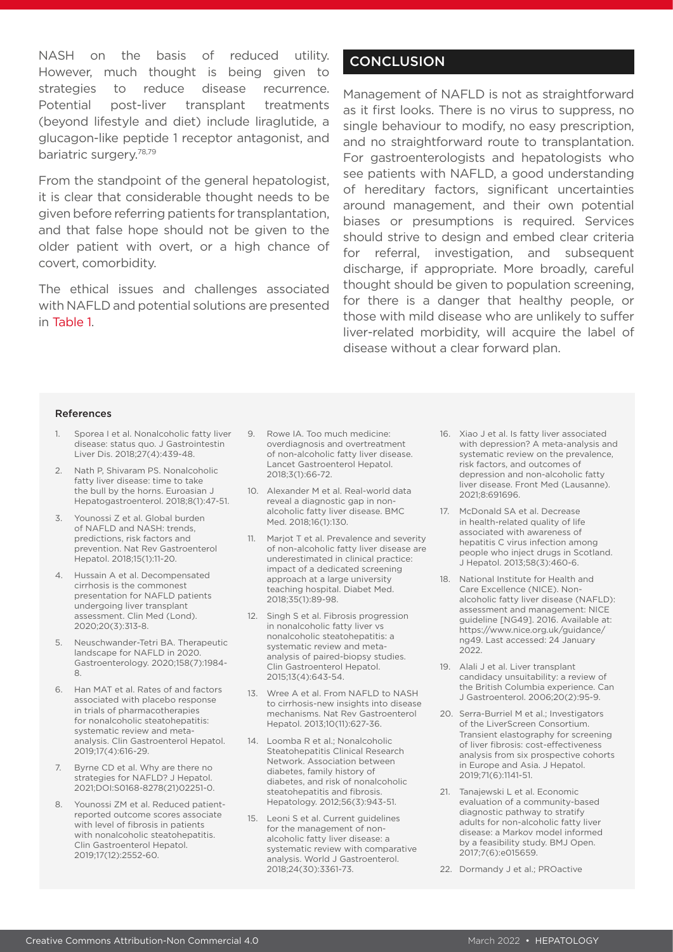NASH on the basis of reduced utility. However, much thought is being given to strategies to reduce disease recurrence. Potential post-liver transplant treatments (beyond lifestyle and diet) include liraglutide, a glucagon-like peptide 1 receptor antagonist, and bariatric surgery.78,79

From the standpoint of the general hepatologist, it is clear that considerable thought needs to be given before referring patients for transplantation, and that false hope should not be given to the older patient with overt, or a high chance of covert, comorbidity.

The ethical issues and challenges associated with NAFLD and potential solutions are presented in Table 1.

#### **CONCLUSION**

Management of NAFLD is not as straightforward as it first looks. There is no virus to suppress, no single behaviour to modify, no easy prescription, and no straightforward route to transplantation. For gastroenterologists and hepatologists who see patients with NAFLD, a good understanding of hereditary factors, significant uncertainties around management, and their own potential biases or presumptions is required. Services should strive to design and embed clear criteria for referral, investigation, and subsequent discharge, if appropriate. More broadly, careful thought should be given to population screening, for there is a danger that healthy people, or those with mild disease who are unlikely to suffer liver-related morbidity, will acquire the label of disease without a clear forward plan.

#### References

- 1. Sporea I et al. Nonalcoholic fatty liver disease: status quo. J Gastrointestin Liver Dis. 2018;27(4):439-48.
- 2. Nath P, Shivaram PS. Nonalcoholic fatty liver disease: time to take the bull by the horns. Euroasian J Hepatogastroenterol. 2018;8(1):47-51.
- 3. Younossi Z et al. Global burden of NAFLD and NASH: trends, predictions, risk factors and prevention. Nat Rev Gastroenterol Hepatol. 2018;15(1):11-20.
- 4. Hussain A et al. Decompensated cirrhosis is the commonest presentation for NAFLD patients undergoing liver transplant assessment. Clin Med (Lond). 2020;20(3):313-8.
- 5. Neuschwander-Tetri BA. Therapeutic landscape for NAFLD in 2020. Gastroenterology. 2020;158(7):1984- 8.
- 6. Han MAT et al. Rates of and factors associated with placebo response in trials of pharmacotherapies for nonalcoholic steatohepatitis: systematic review and metaanalysis. Clin Gastroenterol Hepatol. 2019;17(4):616-29.
- 7. Byrne CD et al. Why are there no strategies for NAFLD? J Hepatol. 2021;DOI:S0168-8278(21)02251-0.
- 8. Younossi ZM et al. Reduced patientreported outcome scores associate with level of fibrosis in patients with nonalcoholic steatohepatitis. Clin Gastroenterol Hepatol. 2019;17(12):2552-60.
- 9. Rowe IA. Too much medicine: overdiagnosis and overtreatment of non-alcoholic fatty liver disease. Lancet Gastroenterol Hepatol. 2018;3(1):66-72.
- 10. Alexander M et al. Real-world data reveal a diagnostic gap in nonalcoholic fatty liver disease. BMC Med. 2018;16(1):130.
- 11. Marjot T et al. Prevalence and severity of non-alcoholic fatty liver disease are underestimated in clinical practice: impact of a dedicated screening approach at a large university teaching hospital. Diabet Med. 2018;35(1):89-98.
- 12. Singh S et al. Fibrosis progression in nonalcoholic fatty liver vs nonalcoholic steatohepatitis: a systematic review and metaanalysis of paired-biopsy studies. Clin Gastroenterol Hepatol. 2015;13(4):643-54.
- 13. Wree A et al. From NAFLD to NASH to cirrhosis-new insights into disease mechanisms. Nat Rev Gastroenterol Hepatol. 2013;10(11):627-36.
- 14. Loomba R et al.; Nonalcoholic Steatohepatitis Clinical Research Network. Association between diabetes, family history of diabetes, and risk of nonalcoholic steatohepatitis and fibrosis. Hepatology. 2012;56(3):943-51.
- 15. Leoni S et al. Current guidelines for the management of nonalcoholic fatty liver disease: a systematic review with comparative analysis. World J Gastroenterol. 2018;24(30):3361-73.
- 16. Xiao J et al. Is fatty liver associated with depression? A meta-analysis and systematic review on the prevalence, risk factors, and outcomes of depression and non-alcoholic fatty liver disease. Front Med (Lausanne). 2021;8:691696.
- 17. McDonald SA et al. Decrease in health-related quality of life associated with awareness of hepatitis C virus infection among people who inject drugs in Scotland. J Hepatol. 2013;58(3):460-6.
- 18. National Institute for Health and Care Excellence (NICE). Nonalcoholic fatty liver disease (NAFLD): assessment and management: NICE guideline [NG49]. 2016. Available at: https://www.nice.org.uk/guidance/ ng49. Last accessed: 24 January 2022.
- 19. Alali J et al. Liver transplant candidacy unsuitability: a review of the British Columbia experience. Can J Gastroenterol. 2006;20(2):95-9.
- 20. Serra-Burriel M et al.; Investigators of the LiverScreen Consortium. Transient elastography for screening of liver fibrosis: cost-effectiveness analysis from six prospective cohorts in Europe and Asia. J Hepatol. 2019;71(6):1141-51.
- 21. Tanajewski L et al. Economic evaluation of a community-based diagnostic pathway to stratify adults for non-alcoholic fatty liver disease: a Markov model informed by a feasibility study. BMJ Open. 2017;7(6):e015659.
- 22. Dormandy J et al.; PROactive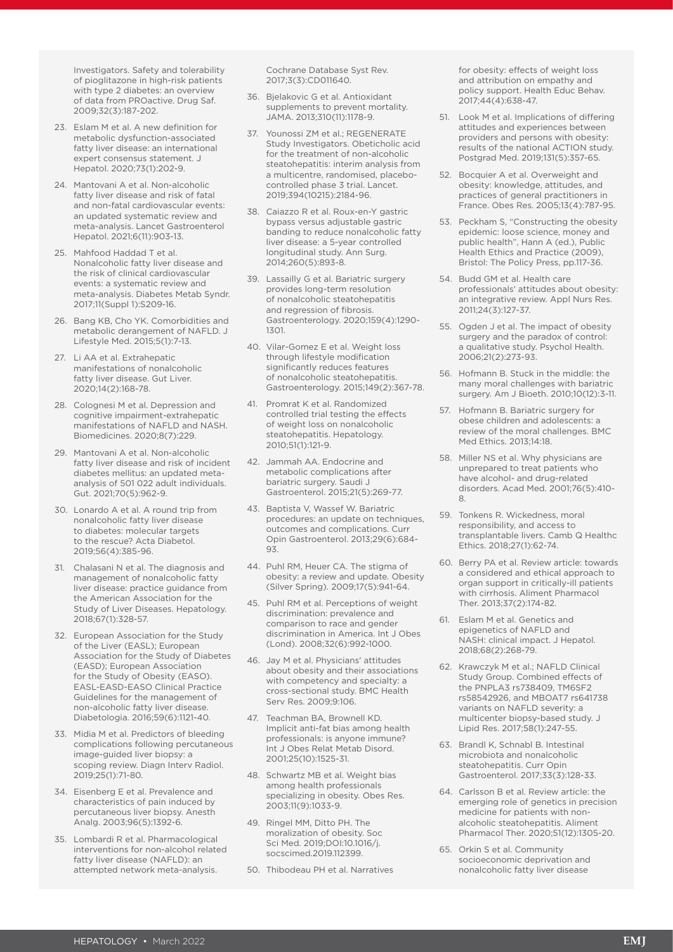Investigators. Safety and tolerability of pioglitazone in high-risk patients with type 2 diabetes: an overview of data from PROactive. Drug Saf. 2009;32(3):187-202.

- 23. Eslam M et al. A new definition for metabolic dysfunction-associated fatty liver disease: an international expert consensus statement. J Hepatol. 2020;73(1):202-9.
- 24. Mantovani A et al. Non-alcoholic fatty liver disease and risk of fatal and non-fatal cardiovascular events: an updated systematic review and meta-analysis. Lancet Gastroenterol Hepatol. 2021;6(11):903-13.
- 25. Mahfood Haddad T et al. Nonalcoholic fatty liver disease and the risk of clinical cardiovascular events: a systematic review and meta-analysis. Diabetes Metab Syndr. 2017;11(Suppl 1):S209-16.
- 26. Bang KB, Cho YK. Comorbidities and metabolic derangement of NAFLD. J Lifestyle Med. 2015;5(1):7-13.
- 27. Li AA et al. Extrahepatic manifestations of nonalcoholic fatty liver disease. Gut Liver. 2020;14(2):168-78.
- 28. Colognesi M et al. Depression and cognitive impairment-extrahepatic manifestations of NAFLD and NASH. Biomedicines. 2020;8(7):229.
- 29. Mantovani A et al. Non-alcoholic fatty liver disease and risk of incident diabetes mellitus: an updated metaanalysis of 501 022 adult individuals. Gut. 2021;70(5):962-9.
- 30. Lonardo A et al. A round trip from nonalcoholic fatty liver disease to diabetes: molecular targets to the rescue? Acta Diabetol. 2019;56(4):385-96.
- 31. Chalasani N et al. The diagnosis and management of nonalcoholic fatty liver disease: practice guidance from the American Association for the Study of Liver Diseases. Hepatology. 2018;67(1):328-57.
- 32. European Association for the Study of the Liver (EASL); European Association for the Study of Diabetes (EASD); European Association for the Study of Obesity (EASO). EASL-EASD-EASO Clinical Practice Guidelines for the management of non-alcoholic fatty liver disease. Diabetologia. 2016;59(6):1121-40.
- 33. Midia M et al. Predictors of bleeding complications following percutaneous image-guided liver biopsy: a scoping review. Diagn Interv Radiol. 2019;25(1):71-80.
- 34. Eisenberg E et al. Prevalence and characteristics of pain induced by percutaneous liver biopsy. Anesth Analg. 2003;96(5):1392-6.
- 35. Lombardi R et al. Pharmacological interventions for non-alcohol related fatty liver disease (NAFLD): an attempted network meta-analysis.

Cochrane Database Syst Rev. 2017;3(3):CD011640.

- 36. Bjelakovic G et al. Antioxidant supplements to prevent mortality. JAMA. 2013;310(11):1178-9.
- 37. Younossi ZM et al.; REGENERATE Study Investigators. Obeticholic acid for the treatment of non-alcoholic steatohepatitis: interim analysis from a multicentre, randomised, placebocontrolled phase 3 trial. Lancet. 2019;394(10215):2184-96.
- 38. Caiazzo R et al. Roux-en-Y gastric bypass versus adjustable gastric banding to reduce nonalcoholic fatty liver disease: a 5-year controlled longitudinal study. Ann Surg. 2014;260(5):893-8.
- 39. Lassailly G et al. Bariatric surgery provides long-term resolution of nonalcoholic steatohepatitis and regression of fibrosis. Gastroenterology. 2020;159(4):1290- 1301.
- 40. Vilar-Gomez E et al. Weight loss through lifestyle modification significantly reduces features of nonalcoholic steatohepatitis. Gastroenterology. 2015;149(2):367-78.
- 41. Promrat K et al. Randomized controlled trial testing the effects of weight loss on nonalcoholic steatohepatitis. Hepatology. 2010;51(1):121-9.
- 42. Jammah AA. Endocrine and metabolic complications after bariatric surgery. Saudi J Gastroenterol. 2015;21(5):269-77.
- 43. Baptista V, Wassef W. Bariatric procedures: an update on techniques, outcomes and complications. Curr Opin Gastroenterol. 2013;29(6):684- 93.
- 44. Puhl RM, Heuer CA. The stigma of obesity: a review and update. Obesity (Silver Spring). 2009;17(5):941-64.
- 45. Puhl RM et al. Perceptions of weight discrimination: prevalence and comparison to race and gender discrimination in America. Int J Obes (Lond). 2008;32(6):992-1000.
- 46. Jay M et al. Physicians' attitudes about obesity and their associations with competency and specialty: a cross-sectional study. BMC Health Serv Res. 2009;9:106.
- 47. Teachman BA, Brownell KD. Implicit anti-fat bias among health professionals: is anyone immune? Int J Obes Relat Metab Disord. 2001;25(10):1525-31.
- 48. Schwartz MB et al. Weight bias among health professionals specializing in obesity. Obes Res. 2003;11(9):1033-9.
- 49. Ringel MM, Ditto PH. The moralization of obesity. Soc Sci Med. 2019;DOI:10.1016/j. socscimed.2019.112399.
- 50. Thibodeau PH et al. Narratives

for obesity: effects of weight loss and attribution on empathy and policy support. Health Educ Behav. 2017;44(4):638-47.

- 51. Look M et al. Implications of differing attitudes and experiences between providers and persons with obesity: results of the national ACTION study. Postgrad Med. 2019;131(5):357-65.
- 52. Bocquier A et al. Overweight and obesity: knowledge, attitudes, and practices of general practitioners in France. Obes Res. 2005;13(4):787-95.
- 53. Peckham S, "Constructing the obesity epidemic: loose science, money and public health", Hann A (ed.), Public Health Ethics and Practice (2009), Bristol: The Policy Press, pp.117-36.
- 54. Budd GM et al. Health care professionals' attitudes about obesity: an integrative review. Appl Nurs Res. 2011;24(3):127-37.
- 55. Ogden J et al. The impact of obesity surgery and the paradox of control: a qualitative study. Psychol Health. 2006;21(2):273-93.
- 56. Hofmann B. Stuck in the middle: the many moral challenges with bariatric surgery. Am J Bioeth. 2010;10(12):3-11.
- 57. Hofmann B. Bariatric surgery for obese children and adolescents: a review of the moral challenges. BMC Med Ethics. 2013;14:18.
- 58. Miller NS et al. Why physicians are unprepared to treat patients who have alcohol- and drug-related disorders. Acad Med. 2001;76(5):410- 8.
- 59. Tonkens R. Wickedness, moral responsibility, and access to transplantable livers. Camb Q Healthc Ethics. 2018;27(1):62-74.
- 60. Berry PA et al. Review article: towards a considered and ethical approach to organ support in critically-ill patients with cirrhosis. Aliment Pharmacol Ther. 2013;37(2):174-82.
- 61. Eslam M et al. Genetics and epigenetics of NAFLD and NASH: clinical impact. J Hepatol. 2018;68(2):268-79.
- 62. Krawczyk M et al.; NAFLD Clinical Study Group. Combined effects of the PNPLA3 rs738409, TM6SF2 rs58542926, and MBOAT7 rs641738 variants on NAFLD severity: a multicenter biopsy-based study. J Lipid Res. 2017;58(1):247-55.
- 63. Brandl K, Schnabl B. Intestinal microbiota and nonalcoholic steatohepatitis. Curr Opin Gastroenterol. 2017;33(3):128-33.
- 64. Carlsson B et al. Review article: the emerging role of genetics in precision medicine for patients with nonalcoholic steatohepatitis. Aliment Pharmacol Ther. 2020;51(12):1305-20.
- 65. Orkin S et al. Community socioeconomic deprivation and nonalcoholic fatty liver disease